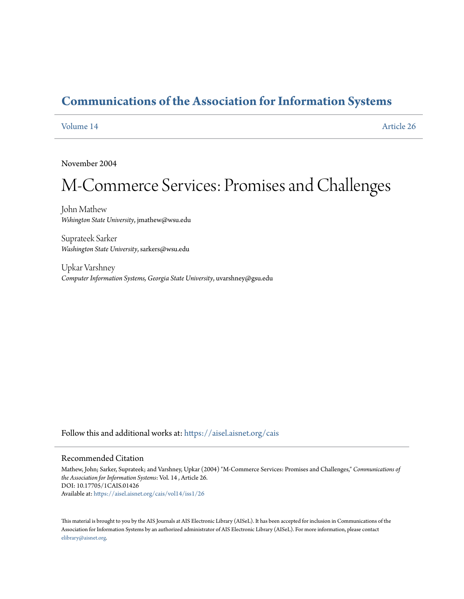# **[Communications of the Association for Information Systems](https://aisel.aisnet.org/cais?utm_source=aisel.aisnet.org%2Fcais%2Fvol14%2Fiss1%2F26&utm_medium=PDF&utm_campaign=PDFCoverPages)**

### [Volume 14](https://aisel.aisnet.org/cais/vol14?utm_source=aisel.aisnet.org%2Fcais%2Fvol14%2Fiss1%2F26&utm_medium=PDF&utm_campaign=PDFCoverPages) [Article 26](https://aisel.aisnet.org/cais/vol14/iss1/26?utm_source=aisel.aisnet.org%2Fcais%2Fvol14%2Fiss1%2F26&utm_medium=PDF&utm_campaign=PDFCoverPages)

November 2004

# M-Commerce Services: Promises and Challenges

John Mathew *Wshington State University*, jmathew@wsu.edu

Suprateek Sarker *Washington State University*, sarkers@wsu.edu

Upkar Varshney *Computer Information Systems, Georgia State University*, uvarshney@gsu.edu

Follow this and additional works at: [https://aisel.aisnet.org/cais](https://aisel.aisnet.org/cais?utm_source=aisel.aisnet.org%2Fcais%2Fvol14%2Fiss1%2F26&utm_medium=PDF&utm_campaign=PDFCoverPages)

### Recommended Citation

Mathew, John; Sarker, Suprateek; and Varshney, Upkar (2004) "M-Commerce Services: Promises and Challenges," *Communications of the Association for Information Systems*: Vol. 14 , Article 26. DOI: 10.17705/1CAIS.01426 Available at: [https://aisel.aisnet.org/cais/vol14/iss1/26](https://aisel.aisnet.org/cais/vol14/iss1/26?utm_source=aisel.aisnet.org%2Fcais%2Fvol14%2Fiss1%2F26&utm_medium=PDF&utm_campaign=PDFCoverPages)

This material is brought to you by the AIS Journals at AIS Electronic Library (AISeL). It has been accepted for inclusion in Communications of the Association for Information Systems by an authorized administrator of AIS Electronic Library (AISeL). For more information, please contact [elibrary@aisnet.org.](mailto:elibrary@aisnet.org%3E)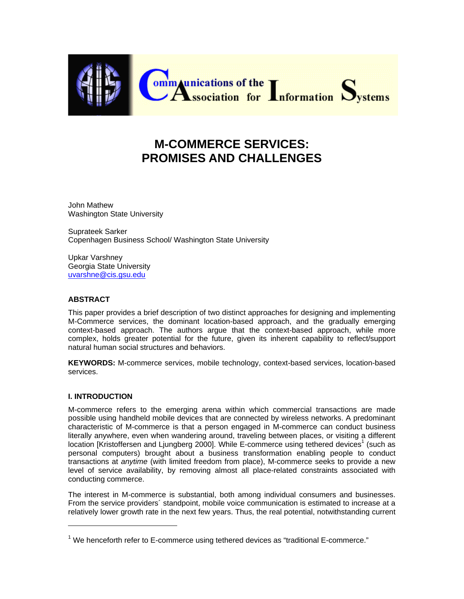

## **M-COMMERCE SERVICES: PROMISES AND CHALLENGES**

John Mathew Washington State University

Suprateek Sarker Copenhagen Business School/ Washington State University

Upkar Varshney Georgia State University uvarshne@cis.gsu.edu

### **ABSTRACT**

This paper provides a brief description of two distinct approaches for designing and implementing M-Commerce services, the dominant location-based approach, and the gradually emerging context-based approach. The authors argue that the context-based approach, while more complex, holds greater potential for the future, given its inherent capability to reflect/support natural human social structures and behaviors.

**KEYWORDS:** M-commerce services, mobile technology, context-based services, location-based services.

### **I. INTRODUCTION**

l

M-commerce refers to the emerging arena within which commercial transactions are made possible using handheld mobile devices that are connected by wireless networks. A predominant characteristic of M-commerce is that a person engaged in M-commerce can conduct business literally anywhere, even when wandering around, traveling between places, or visiting a different location [Kristoffersen and Ljungberg 2000]. While E-commerce using tethered devices<sup>1</sup> (such as personal computers) brought about a business transformation enabling people to conduct transactions at *anytime* (with limited freedom from place), M-commerce seeks to provide a new level of service availability, by removing almost all place-related constraints associated with conducting commerce.

The interest in M-commerce is substantial, both among individual consumers and businesses. From the service providers´ standpoint, mobile voice communication is estimated to increase at a relatively lower growth rate in the next few years. Thus, the real potential, notwithstanding current

 $1$  We henceforth refer to E-commerce using tethered devices as "traditional E-commerce."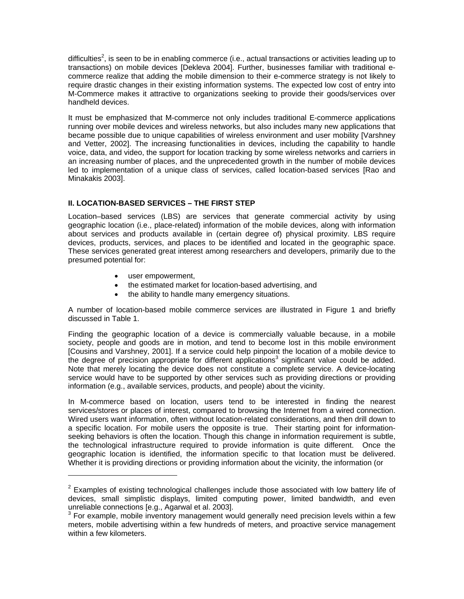difficulties<sup>2</sup>, is seen to be in enabling commerce (i.e., actual transactions or activities leading up to transactions) on mobile devices [Dekleva 2004]. Further, businesses familiar with traditional ecommerce realize that adding the mobile dimension to their e-commerce strategy is not likely to require drastic changes in their existing information systems. The expected low cost of entry into M-Commerce makes it attractive to organizations seeking to provide their goods/services over handheld devices.

It must be emphasized that M-commerce not only includes traditional E-commerce applications running over mobile devices and wireless networks, but also includes many new applications that became possible due to unique capabilities of wireless environment and user mobility [Varshney and Vetter, 2002]. The increasing functionalities in devices, including the capability to handle voice, data, and video, the support for location tracking by some wireless networks and carriers in an increasing number of places, and the unprecedented growth in the number of mobile devices led to implementation of a unique class of services, called location-based services [Rao and Minakakis 2003].

### **II. LOCATION-BASED SERVICES – THE FIRST STEP**

Location–based services (LBS) are services that generate commercial activity by using geographic location (i.e., place-related) information of the mobile devices, along with information about services and products available in (certain degree of) physical proximity. LBS require devices, products, services, and places to be identified and located in the geographic space. These services generated great interest among researchers and developers, primarily due to the presumed potential for:

• user empowerment,

-

- the estimated market for location-based advertising, and
- the ability to handle many emergency situations.

A number of location-based mobile commerce services are illustrated in Figure 1 and briefly discussed in Table 1.

Finding the geographic location of a device is commercially valuable because, in a mobile society, people and goods are in motion, and tend to become lost in this mobile environment [Cousins and Varshney, 2001]. If a service could help pinpoint the location of a mobile device to the degree of precision appropriate for different applications<sup>3</sup> significant value could be added. Note that merely locating the device does not constitute a complete service. A device-locating service would have to be supported by other services such as providing directions or providing information (e.g., available services, products, and people) about the vicinity.

In M-commerce based on location, users tend to be interested in finding the nearest services/stores or places of interest, compared to browsing the Internet from a wired connection. Wired users want information, often without location-related considerations, and then drill down to a specific location. For mobile users the opposite is true. Their starting point for informationseeking behaviors is often the location. Though this change in information requirement is subtle, the technological infrastructure required to provide information is quite different. Once the geographic location is identified, the information specific to that location must be delivered. Whether it is providing directions or providing information about the vicinity, the information (or

 $2$  Examples of existing technological challenges include those associated with low battery life of devices, small simplistic displays, limited computing power, limited bandwidth, and even unreliable connections [e.g., Agarwal et al. 2003].

 $3$  For example, mobile inventory management would generally need precision levels within a few meters, mobile advertising within a few hundreds of meters, and proactive service management within a few kilometers.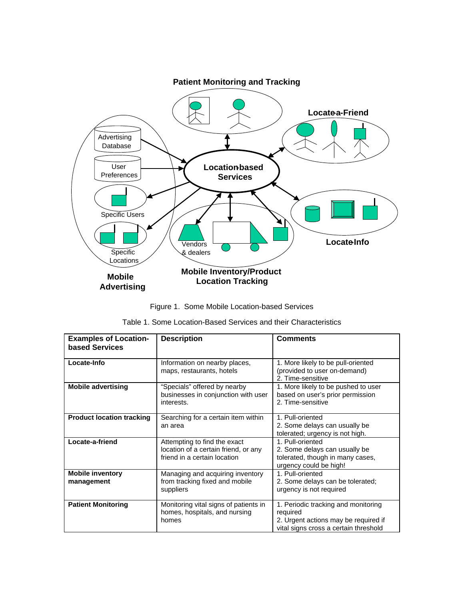

|  |  |  | Figure 1. Some Mobile Location-based Services |  |
|--|--|--|-----------------------------------------------|--|
|--|--|--|-----------------------------------------------|--|

| <b>Examples of Location-</b><br>based Services | <b>Description</b>                                                                                   | <b>Comments</b>                                                                                                                  |
|------------------------------------------------|------------------------------------------------------------------------------------------------------|----------------------------------------------------------------------------------------------------------------------------------|
| Locate-Info                                    | Information on nearby places,<br>maps, restaurants, hotels                                           | 1. More likely to be pull-oriented<br>(provided to user on-demand)<br>2. Time-sensitive                                          |
| <b>Mobile advertising</b>                      | "Specials" offered by nearby<br>businesses in conjunction with user<br>interests.                    | 1. More likely to be pushed to user<br>based on user's prior permission<br>2. Time-sensitive                                     |
| <b>Product location tracking</b>               | Searching for a certain item within<br>an area                                                       | 1. Pull-oriented<br>2. Some delays can usually be<br>tolerated; urgency is not high.                                             |
| Locate-a-friend                                | Attempting to find the exact<br>location of a certain friend, or any<br>friend in a certain location | 1. Pull-oriented<br>2. Some delays can usually be<br>tolerated, though in many cases,<br>urgency could be high!                  |
| <b>Mobile inventory</b><br>management          | Managing and acquiring inventory<br>from tracking fixed and mobile<br>suppliers                      | 1. Pull-oriented<br>2. Some delays can be tolerated;<br>urgency is not required                                                  |
| <b>Patient Monitoring</b>                      | Monitoring vital signs of patients in<br>homes, hospitals, and nursing<br>homes                      | 1. Periodic tracking and monitoring<br>required<br>2. Urgent actions may be required if<br>vital signs cross a certain threshold |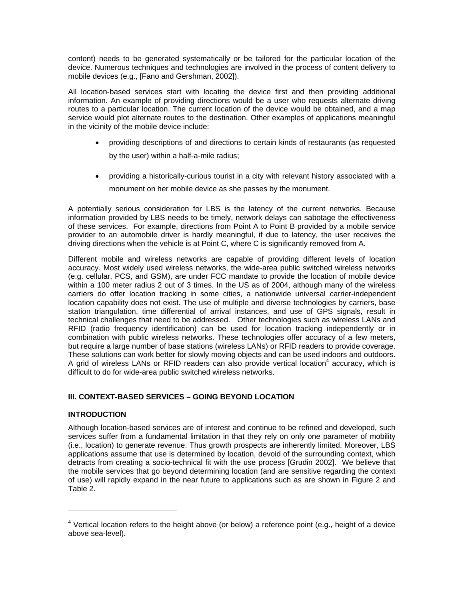content) needs to be generated systematically or be tailored for the particular location of the device. Numerous techniques and technologies are involved in the process of content delivery to mobile devices (e.g., [Fano and Gershman, 2002]).

All location-based services start with locating the device first and then providing additional information. An example of providing directions would be a user who requests alternate driving routes to a particular location. The current location of the device would be obtained, and a map service would plot alternate routes to the destination. Other examples of applications meaningful in the vicinity of the mobile device include:

- providing descriptions of and directions to certain kinds of restaurants (as requested
	- by the user) within a half-a-mile radius;
- providing a historically-curious tourist in a city with relevant history associated with a monument on her mobile device as she passes by the monument.

A potentially serious consideration for LBS is the latency of the current networks. Because information provided by LBS needs to be timely, network delays can sabotage the effectiveness of these services. For example, directions from Point A to Point B provided by a mobile service provider to an automobile driver is hardly meaningful, if due to latency, the user receives the driving directions when the vehicle is at Point C, where C is significantly removed from A.

Different mobile and wireless networks are capable of providing different levels of location accuracy. Most widely used wireless networks, the wide-area public switched wireless networks (e.g. cellular, PCS, and GSM), are under FCC mandate to provide the location of mobile device within a 100 meter radius 2 out of 3 times. In the US as of 2004, although many of the wireless carriers do offer location tracking in some cities, a nationwide universal carrier-independent location capability does not exist. The use of multiple and diverse technologies by carriers, base station triangulation, time differential of arrival instances, and use of GPS signals, result in technical challenges that need to be addressed. Other technologies such as wireless LANs and RFID (radio frequency identification) can be used for location tracking independently or in combination with public wireless networks. These technologies offer accuracy of a few meters, but require a large number of base stations (wireless LANs) or RFID readers to provide coverage. These solutions can work better for slowly moving objects and can be used indoors and outdoors. A grid of wireless LANs or RFID readers can also provide vertical location<sup>4</sup> accuracy, which is difficult to do for wide-area public switched wireless networks.

### **III. CONTEXT-BASED SERVICES – GOING BEYOND LOCATION**

### **INTRODUCTION**

l

Although location-based services are of interest and continue to be refined and developed, such services suffer from a fundamental limitation in that they rely on only one parameter of mobility (i.e., location) to generate revenue. Thus growth prospects are inherently limited. Moreover, LBS applications assume that use is determined by location, devoid of the surrounding context, which detracts from creating a socio-technical fit with the use process [Grudin 2002]. We believe that the mobile services that go beyond determining location (and are sensitive regarding the context of use) will rapidly expand in the near future to applications such as are shown in Figure 2 and Table 2.

 $4$  Vertical location refers to the height above (or below) a reference point (e.g., height of a device above sea-level).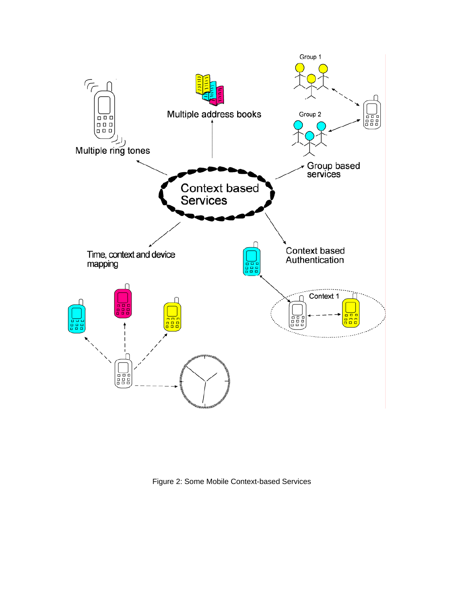

Figure 2: Some Mobile Context-based Services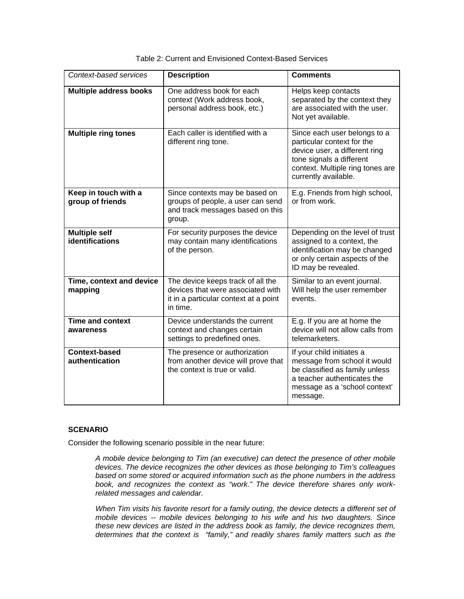| Context-based services                   | <b>Description</b>                                                                                                          | <b>Comments</b>                                                                                                                                                                     |
|------------------------------------------|-----------------------------------------------------------------------------------------------------------------------------|-------------------------------------------------------------------------------------------------------------------------------------------------------------------------------------|
| <b>Multiple address books</b>            | One address book for each<br>context (Work address book,<br>personal address book, etc.)                                    | Helps keep contacts<br>separated by the context they<br>are associated with the user.<br>Not yet available.                                                                         |
| <b>Multiple ring tones</b>               | Each caller is identified with a<br>different ring tone.                                                                    | Since each user belongs to a<br>particular context for the<br>device user, a different ring<br>tone signals a different<br>context. Multiple ring tones are<br>currently available. |
| Keep in touch with a<br>group of friends | Since contexts may be based on<br>groups of people, a user can send<br>and track messages based on this<br>group.           | E.g. Friends from high school,<br>or from work.                                                                                                                                     |
| <b>Multiple self</b><br>identifications  | For security purposes the device<br>may contain many identifications<br>of the person.                                      | Depending on the level of trust<br>assigned to a context, the<br>identification may be changed<br>or only certain aspects of the<br>ID may be revealed.                             |
| Time, context and device<br>mapping      | The device keeps track of all the<br>devices that were associated with<br>it in a particular context at a point<br>in time. | Similar to an event journal.<br>Will help the user remember<br>events.                                                                                                              |
| <b>Time and context</b><br>awareness     | Device understands the current<br>context and changes certain<br>settings to predefined ones.                               | E.g. If you are at home the<br>device will not allow calls from<br>telemarketers.                                                                                                   |
| <b>Context-based</b><br>authentication   | The presence or authorization<br>from another device will prove that<br>the context is true or valid.                       | If your child initiates a<br>message from school it would<br>be classified as family unless<br>a teacher authenticates the<br>message as a 'school context'<br>message.             |

### **SCENARIO**

Consider the following scenario possible in the near future:

*A mobile device belonging to Tim (an executive) can detect the presence of other mobile devices. The device recognizes the other devices as those belonging to Tim's colleagues based on some stored or acquired information such as the phone numbers in the address book, and recognizes the context as "work." The device therefore shares only workrelated messages and calendar.* 

*When Tim visits his favorite resort for a family outing, the device detects a different set of mobile devices -- mobile devices belonging to his wife and his two daughters. Since these new devices are listed in the address book as family, the device recognizes them, determines that the context is "family," and readily shares family matters such as the*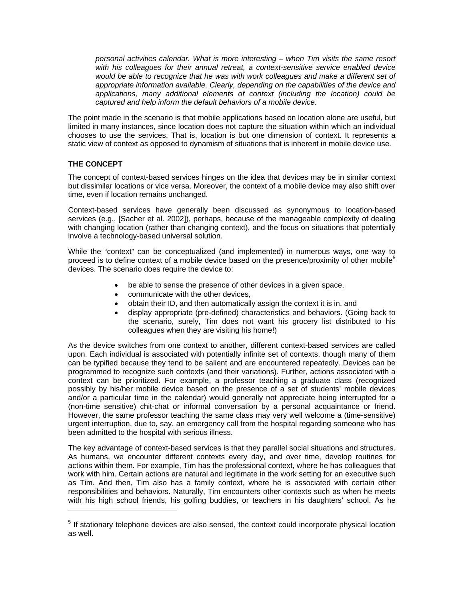*personal activities calendar. What is more interesting – when Tim visits the same resort with his colleagues for their annual retreat, a context-sensitive service enabled device would be able to recognize that he was with work colleagues and make a different set of appropriate information available. Clearly, depending on the capabilities of the device and applications, many additional elements of context (including the location) could be captured and help inform the default behaviors of a mobile device.* 

The point made in the scenario is that mobile applications based on location alone are useful, but limited in many instances, since location does not capture the situation within which an individual chooses to use the services. That is, location is but one dimension of context. It represents a static view of context as opposed to dynamism of situations that is inherent in mobile device use*.*

### **THE CONCEPT**

-

The concept of context-based services hinges on the idea that devices may be in similar context but dissimilar locations or vice versa. Moreover, the context of a mobile device may also shift over time, even if location remains unchanged.

Context-based services have generally been discussed as synonymous to location-based services (e.g., [Sacher et al. 2002]), perhaps, because of the manageable complexity of dealing with changing location (rather than changing context), and the focus on situations that potentially involve a technology-based universal solution.

While the "context" can be conceptualized (and implemented) in numerous ways, one way to proceed is to define context of a mobile device based on the presence/proximity of other mobile<sup>5</sup> devices. The scenario does require the device to:

- be able to sense the presence of other devices in a given space,
- communicate with the other devices,
- obtain their ID, and then automatically assign the context it is in, and
- display appropriate (pre-defined) characteristics and behaviors. (Going back to the scenario, surely, Tim does not want his grocery list distributed to his colleagues when they are visiting his home!)

As the device switches from one context to another, different context-based services are called upon. Each individual is associated with potentially infinite set of contexts, though many of them can be typified because they tend to be salient and are encountered repeatedly. Devices can be programmed to recognize such contexts (and their variations). Further, actions associated with a context can be prioritized. For example, a professor teaching a graduate class (recognized possibly by his/her mobile device based on the presence of a set of students' mobile devices and/or a particular time in the calendar) would generally not appreciate being interrupted for a (non-time sensitive) chit-chat or informal conversation by a personal acquaintance or friend. However, the same professor teaching the same class may very well welcome a (time-sensitive) urgent interruption, due to, say, an emergency call from the hospital regarding someone who has been admitted to the hospital with serious illness.

The key advantage of context-based services is that they parallel social situations and structures. As humans, we encounter different contexts every day, and over time, develop routines for actions within them. For example, Tim has the professional context, where he has colleagues that work with him. Certain actions are natural and legitimate in the work setting for an executive such as Tim. And then, Tim also has a family context, where he is associated with certain other responsibilities and behaviors. Naturally, Tim encounters other contexts such as when he meets with his high school friends, his golfing buddies, or teachers in his daughters' school. As he

 $<sup>5</sup>$  If stationary telephone devices are also sensed, the context could incorporate physical location</sup> as well.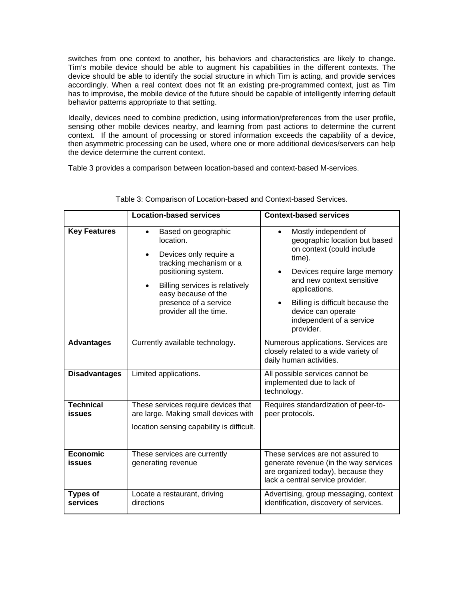switches from one context to another, his behaviors and characteristics are likely to change. Tim's mobile device should be able to augment his capabilities in the different contexts. The device should be able to identify the social structure in which Tim is acting, and provide services accordingly. When a real context does not fit an existing pre-programmed context, just as Tim has to improvise, the mobile device of the future should be capable of intelligently inferring default behavior patterns appropriate to that setting.

Ideally, devices need to combine prediction, using information/preferences from the user profile, sensing other mobile devices nearby, and learning from past actions to determine the current context. If the amount of processing or stored information exceeds the capability of a device, then asymmetric processing can be used, where one or more additional devices/servers can help the device determine the current context.

Table 3 provides a comparison between location-based and context-based M-services.

|                                   | <b>Location-based services</b>                                                                                                                                                                                                                                  | <b>Context-based services</b>                                                                                                                                                                                                                                                               |  |
|-----------------------------------|-----------------------------------------------------------------------------------------------------------------------------------------------------------------------------------------------------------------------------------------------------------------|---------------------------------------------------------------------------------------------------------------------------------------------------------------------------------------------------------------------------------------------------------------------------------------------|--|
| <b>Key Features</b>               | Based on geographic<br>$\bullet$<br>location.<br>Devices only require a<br>$\bullet$<br>tracking mechanism or a<br>positioning system.<br>Billing services is relatively<br>$\bullet$<br>easy because of the<br>presence of a service<br>provider all the time. | Mostly independent of<br>$\bullet$<br>geographic location but based<br>on context (could include<br>time).<br>Devices require large memory<br>and new context sensitive<br>applications.<br>Billing is difficult because the<br>device can operate<br>independent of a service<br>provider. |  |
| <b>Advantages</b>                 | Currently available technology.                                                                                                                                                                                                                                 | Numerous applications. Services are<br>closely related to a wide variety of<br>daily human activities.                                                                                                                                                                                      |  |
| <b>Disadvantages</b>              | Limited applications.                                                                                                                                                                                                                                           | All possible services cannot be<br>implemented due to lack of<br>technology.                                                                                                                                                                                                                |  |
| <b>Technical</b><br><b>issues</b> | These services require devices that<br>are large. Making small devices with<br>location sensing capability is difficult.                                                                                                                                        | Requires standardization of peer-to-<br>peer protocols.                                                                                                                                                                                                                                     |  |
| <b>Economic</b><br>issues         | These services are currently<br>generating revenue                                                                                                                                                                                                              | These services are not assured to<br>generate revenue (in the way services<br>are organized today), because they<br>lack a central service provider.                                                                                                                                        |  |
| <b>Types of</b><br>services       | Locate a restaurant, driving<br>directions                                                                                                                                                                                                                      | Advertising, group messaging, context<br>identification, discovery of services.                                                                                                                                                                                                             |  |

Table 3: Comparison of Location-based and Context-based Services.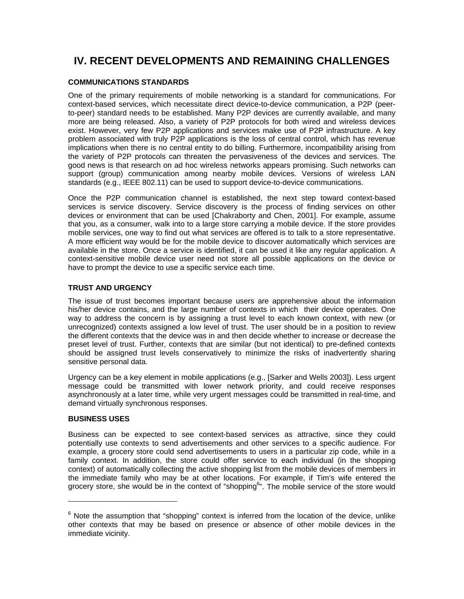### **IV. RECENT DEVELOPMENTS AND REMAINING CHALLENGES**

### **COMMUNICATIONS STANDARDS**

One of the primary requirements of mobile networking is a standard for communications. For context-based services, which necessitate direct device-to-device communication, a P2P (peerto-peer) standard needs to be established. Many P2P devices are currently available, and many more are being released. Also, a variety of P2P protocols for both wired and wireless devices exist. However, very few P2P applications and services make use of P2P infrastructure. A key problem associated with truly P2P applications is the loss of central control, which has revenue implications when there is no central entity to do billing. Furthermore, incompatibility arising from the variety of P2P protocols can threaten the pervasiveness of the devices and services. The good news is that research on ad hoc wireless networks appears promising. Such networks can support (group) communication among nearby mobile devices. Versions of wireless LAN standards (e.g., IEEE 802.11) can be used to support device-to-device communications.

Once the P2P communication channel is established, the next step toward context-based services is service discovery. Service discovery is the process of finding services on other devices or environment that can be used [Chakraborty and Chen, 2001]. For example, assume that you, as a consumer, walk into to a large store carrying a mobile device. If the store provides mobile services, one way to find out what services are offered is to talk to a store representative. A more efficient way would be for the mobile device to discover automatically which services are available in the store. Once a service is identified, it can be used it like any regular application. A context-sensitive mobile device user need not store all possible applications on the device or have to prompt the device to use a specific service each time.

### **TRUST AND URGENCY**

The issue of trust becomes important because users are apprehensive about the information his/her device contains, and the large number of contexts in which their device operates. One way to address the concern is by assigning a trust level to each known context, with new (or unrecognized) contexts assigned a low level of trust. The user should be in a position to review the different contexts that the device was in and then decide whether to increase or decrease the preset level of trust. Further, contexts that are similar (but not identical) to pre-defined contexts should be assigned trust levels conservatively to minimize the risks of inadvertently sharing sensitive personal data.

Urgency can be a key element in mobile applications (e.g., [Sarker and Wells 2003]). Less urgent message could be transmitted with lower network priority, and could receive responses asynchronously at a later time, while very urgent messages could be transmitted in real-time, and demand virtually synchronous responses.

### **BUSINESS USES**

-

Business can be expected to see context-based services as attractive, since they could potentially use contexts to send advertisements and other services to a specific audience. For example, a grocery store could send advertisements to users in a particular zip code, while in a family context. In addition, the store could offer service to each individual (in the shopping context) of automatically collecting the active shopping list from the mobile devices of members in the immediate family who may be at other locations. For example, if Tim's wife entered the grocery store, she would be in the context of "shopping<sup>6</sup>". The mobile service of the store would

 $6$  Note the assumption that "shopping" context is inferred from the location of the device, unlike other contexts that may be based on presence or absence of other mobile devices in the immediate vicinity.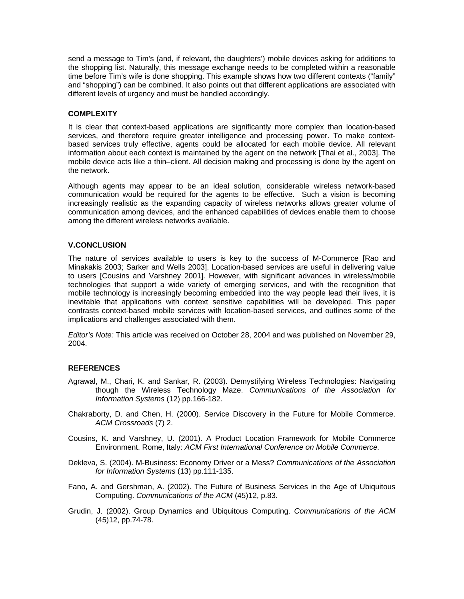send a message to Tim's (and, if relevant, the daughters') mobile devices asking for additions to the shopping list. Naturally, this message exchange needs to be completed within a reasonable time before Tim's wife is done shopping. This example shows how two different contexts ("family" and "shopping") can be combined. It also points out that different applications are associated with different levels of urgency and must be handled accordingly.

### **COMPLEXITY**

It is clear that context-based applications are significantly more complex than location-based services, and therefore require greater intelligence and processing power. To make contextbased services truly effective, agents could be allocated for each mobile device. All relevant information about each context is maintained by the agent on the network [Thai et al., 2003]. The mobile device acts like a thin–client. All decision making and processing is done by the agent on the network.

Although agents may appear to be an ideal solution, considerable wireless network-based communication would be required for the agents to be effective. Such a vision is becoming increasingly realistic as the expanding capacity of wireless networks allows greater volume of communication among devices, and the enhanced capabilities of devices enable them to choose among the different wireless networks available.

### **V.CONCLUSION**

The nature of services available to users is key to the success of M-Commerce [Rao and Minakakis 2003; Sarker and Wells 2003]. Location-based services are useful in delivering value to users [Cousins and Varshney 2001]. However, with significant advances in wireless/mobile technologies that support a wide variety of emerging services, and with the recognition that mobile technology is increasingly becoming embedded into the way people lead their lives, it is inevitable that applications with context sensitive capabilities will be developed. This paper contrasts context-based mobile services with location-based services, and outlines some of the implications and challenges associated with them.

*Editor's Note:* This article was received on October 28, 2004 and was published on November 29, 2004.

### **REFERENCES**

- Agrawal, M., Chari, K. and Sankar, R. (2003). Demystifying Wireless Technologies: Navigating though the Wireless Technology Maze. *Communications of the Association for Information Systems* (12) pp.166-182.
- Chakraborty, D. and Chen, H. (2000). Service Discovery in the Future for Mobile Commerce. *ACM Crossroads* (7) 2.
- Cousins, K. and Varshney, U. (2001). A Product Location Framework for Mobile Commerce Environment. Rome, Italy: *ACM First International Conference on Mobile Commerce.*
- Dekleva, S. (2004). M-Business: Economy Driver or a Mess? *Communications of the Association for Information Systems* (13) pp.111-135.
- Fano, A. and Gershman, A. (2002). The Future of Business Services in the Age of Ubiquitous Computing. *Communications of the ACM* (45)12, p.83.
- Grudin, J. (2002). Group Dynamics and Ubiquitous Computing. *Communications of the ACM* (45)12, pp.74-78.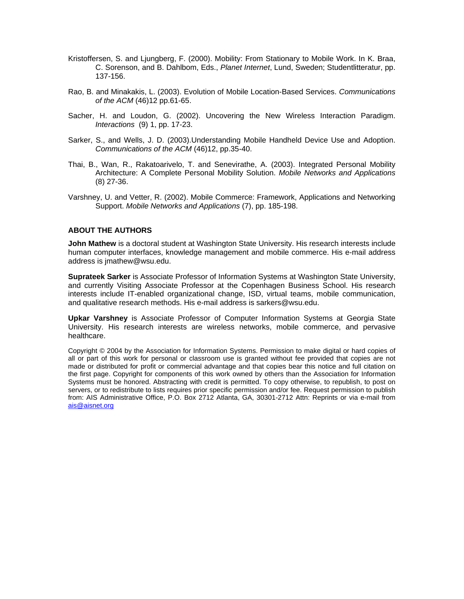- Kristoffersen, S. and Ljungberg, F. (2000). Mobility: From Stationary to Mobile Work. In K. Braa, C. Sorenson, and B. Dahlbom, Eds., *Planet Internet*, Lund, Sweden; Studentlitteratur, pp. 137-156.
- Rao, B. and Minakakis, L. (2003). Evolution of Mobile Location-Based Services. *Communications of the ACM* (46)12 pp.61-65.
- Sacher, H. and Loudon, G. (2002). Uncovering the New Wireless Interaction Paradigm. *Interactions* (9) 1, pp. 17-23.
- Sarker, S., and Wells, J. D. (2003).Understanding Mobile Handheld Device Use and Adoption. *Communications of the ACM* (46)12, pp.35-40.
- Thai, B., Wan, R., Rakatoarivelo, T. and Senevirathe, A. (2003). Integrated Personal Mobility Architecture: A Complete Personal Mobility Solution. *Mobile Networks and Applications* (8) 27-36.
- Varshney, U. and Vetter, R. (2002). Mobile Commerce: Framework, Applications and Networking Support. *Mobile Networks and Applications* (7), pp. 185-198.

#### **ABOUT THE AUTHORS**

**John Mathew** is a doctoral student at Washington State University. His research interests include human computer interfaces, knowledge management and mobile commerce. His e-mail address address is jmathew@wsu.edu.

**Suprateek Sarker** is Associate Professor of Information Systems at Washington State University, and currently Visiting Associate Professor at the Copenhagen Business School. His research interests include IT-enabled organizational change, ISD, virtual teams, mobile communication, and qualitative research methods. His e-mail address is sarkers@wsu.edu.

**Upkar Varshney** is Associate Professor of Computer Information Systems at Georgia State University. His research interests are wireless networks, mobile commerce, and pervasive healthcare.

Copyright © 2004 by the Association for Information Systems. Permission to make digital or hard copies of all or part of this work for personal or classroom use is granted without fee provided that copies are not made or distributed for profit or commercial advantage and that copies bear this notice and full citation on the first page. Copyright for components of this work owned by others than the Association for Information Systems must be honored. Abstracting with credit is permitted. To copy otherwise, to republish, to post on servers, or to redistribute to lists requires prior specific permission and/or fee. Request permission to publish from: AIS Administrative Office, P.O. Box 2712 Atlanta, GA, 30301-2712 Attn: Reprints or via e-mail from ais@aisnet.org